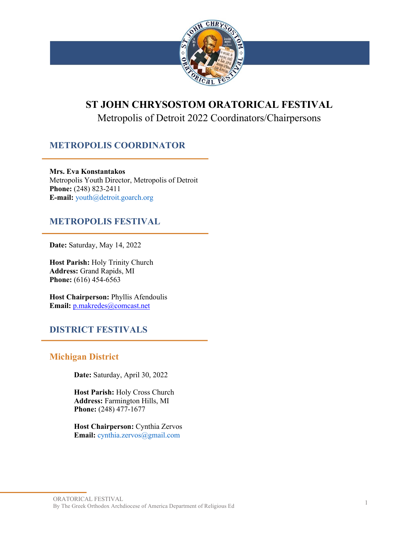

# **ST JOHN CHRYSOSTOM ORATORICAL FESTIVAL**

## Metropolis of Detroit 2022 Coordinators/Chairpersons

### **METROPOLIS COORDINATOR**

**Mrs. Eva Konstantakos** Metropolis Youth Director, Metropolis of Detroit **Phone:** (248) 823-2411 **E-mail:** youth@detroit.goarch.org

#### **METROPOLIS FESTIVAL**

**Date:** Saturday, May 14, 2022

**Host Parish:** Holy Trinity Church **Address:** Grand Rapids, MI **Phone:** (616) 454-6563

**Host Chairperson:** Phyllis Afendoulis **Email:** p.makredes@comcast.net

#### **DISTRICT FESTIVALS**

#### **Michigan District**

**Date:** Saturday, April 30, 2022

**Host Parish:** Holy Cross Church **Address:** Farmington Hills, MI **Phone:** (248) 477-1677

**Host Chairperson:** Cynthia Zervos **Email:** cynthia.zervos@gmail.com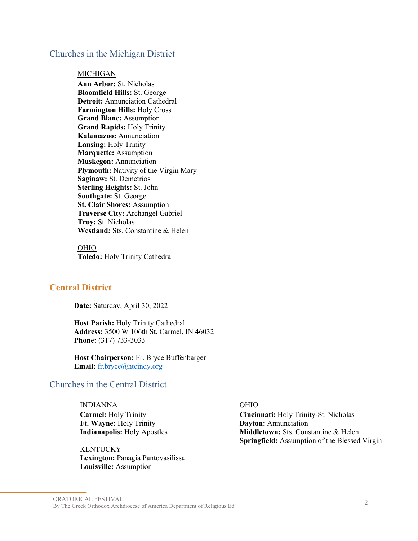#### Churches in the Michigan District

#### **MICHIGAN**

**Ann Arbor:** St. Nicholas **Bloomfield Hills:** St. George **Detroit:** Annunciation Cathedral **Farmington Hills:** Holy Cross **Grand Blanc:** Assumption **Grand Rapids:** Holy Trinity **Kalamazoo:** Annunciation **Lansing:** Holy Trinity **Marquette:** Assumption **Muskegon:** Annunciation **Plymouth:** Nativity of the Virgin Mary **Saginaw:** St. Demetrios **Sterling Heights:** St. John **Southgate:** St. George **St. Clair Shores:** Assumption **Traverse City:** Archangel Gabriel **Troy:** St. Nicholas **Westland:** Sts. Constantine & Helen

OHIO **Toledo:** Holy Trinity Cathedral

#### **Central District**

**Date:** Saturday, April 30, 2022

**Host Parish:** Holy Trinity Cathedral **Address:** 3500 W 106th St, Carmel, IN 46032 **Phone:** (317) 733-3033

**Host Chairperson:** Fr. Bryce Buffenbarger **Email:** fr.bryce@htcindy.org

#### Churches in the Central District

INDIANNA OHIO **Carmel:** Holy Trinity **Ft. Wayne:** Holy Trinity **Indianapolis:** Holy Apostles

#### **KENTUCKY**

**Lexington:** Panagia Pantovasilissa **Louisville:** Assumption

**Cincinnati:** Holy Trinity-St. Nicholas **Dayton:** Annunciation **Middletown:** Sts. Constantine & Helen **Springfield:** Assumption of the Blessed Virgin